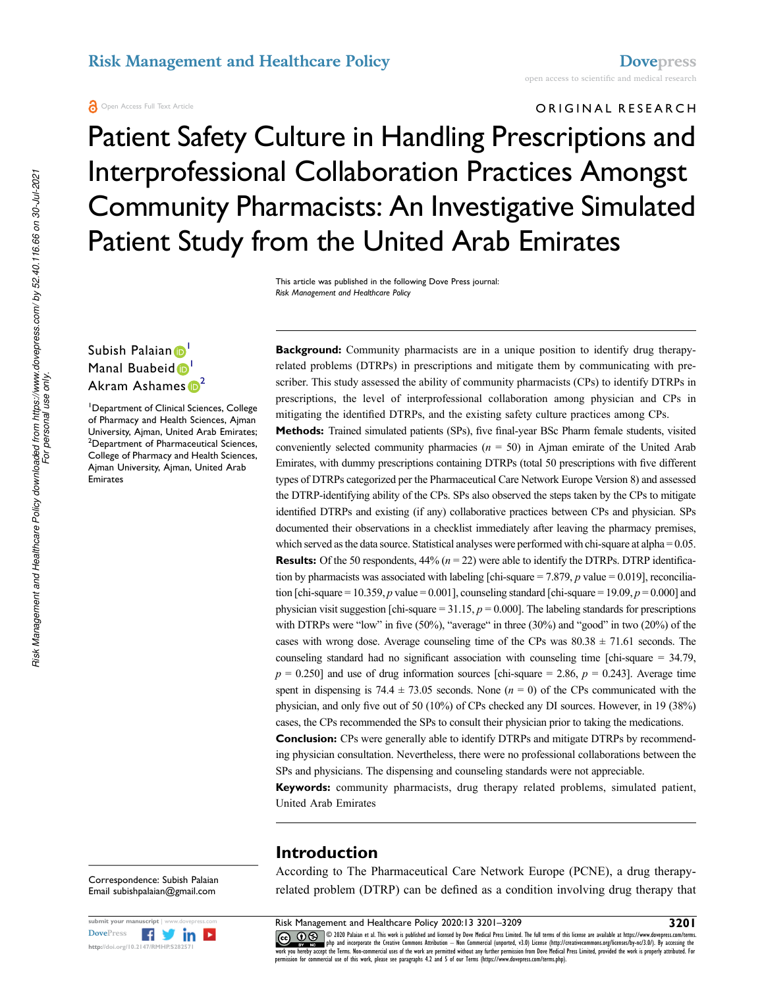#### ORIGINAL RESEARCH

Patient Safety Culture in Handling Prescriptions and Interprofessional Collaboration Practices Amongst Community Pharmacists: An Investigative Simulated Patient Study from the United Arab Emirates

> This article was published in the following Dove Press journal: *Risk Management and Healthcare Policy*

## Subish Palaian<sup>D</sup> Manal Buabeid<sup>[1](#page-0-0)</sup> Akram A[s](http://orcid.org/0000-0003-3124-8802)hames  $\mathbb{D}^2$  $\mathbb{D}^2$

<span id="page-0-1"></span><span id="page-0-0"></span><sup>1</sup>Department of Clinical Sciences, College of Pharmacy and Health Sciences, Ajman University, Ajman, United Arab Emirates; <sup>2</sup>Department of Pharmaceutical Sciences, College of Pharmacy and Health Sciences, Ajman University, Ajman, United Arab Emirates

mitigating the identified DTRPs, and the existing safety culture practices among CPs. **Methods:** Trained simulated patients (SPs), five final-year BSc Pharm female students, visited conveniently selected community pharmacies (*n* = 50) in Ajman emirate of the United Arab Emirates, with dummy prescriptions containing DTRPs (total 50 prescriptions with five different

types of DTRPs categorized per the Pharmaceutical Care Network Europe Version 8) and assessed the DTRP-identifying ability of the CPs. SPs also observed the steps taken by the CPs to mitigate identified DTRPs and existing (if any) collaborative practices between CPs and physician. SPs documented their observations in a checklist immediately after leaving the pharmacy premises, which served as the data source. Statistical analyses were performed with chi-square at alpha = 0.05. **Results:** Of the 50 respondents,  $44\%$  ( $n = 22$ ) were able to identify the DTRPs. DTRP identification by pharmacists was associated with labeling [chi-square = 7.879, *p* value = 0.019], reconciliation [chi-square = 10.359, *p* value = 0.001], counseling standard [chi-square = 19.09,  $p = 0.000$ ] and physician visit suggestion [chi-square  $= 31.15$ ,  $p = 0.000$ ]. The labeling standards for prescriptions with DTRPs were "low" in five (50%), "average" in three (30%) and "good" in two (20%) of the cases with wrong dose. Average counseling time of the CPs was  $80.38 \pm 71.61$  seconds. The counseling standard had no significant association with counseling time [chi-square = 34.79,  $p = 0.250$ ] and use of drug information sources [chi-square = 2.86,  $p = 0.243$ ]. Average time spent in dispensing is  $74.4 \pm 73.05$  seconds. None ( $n = 0$ ) of the CPs communicated with the physician, and only five out of 50 (10%) of CPs checked any DI sources. However, in 19 (38%) cases, the CPs recommended the SPs to consult their physician prior to taking the medications.

**Background:** Community pharmacists are in a unique position to identify drug therapyrelated problems (DTRPs) in prescriptions and mitigate them by communicating with prescriber. This study assessed the ability of community pharmacists (CPs) to identify DTRPs in prescriptions, the level of interprofessional collaboration among physician and CPs in

**Conclusion:** CPs were generally able to identify DTRPs and mitigate DTRPs by recommending physician consultation. Nevertheless, there were no professional collaborations between the SPs and physicians. The dispensing and counseling standards were not appreciable.

**Keywords:** community pharmacists, drug therapy related problems, simulated patient, United Arab Emirates

## **Introduction**

According to The Pharmaceutical Care Network Europe (PCNE), a drug therapyrelated problem (DTRP) can be defined as a condition involving drug therapy that

Correspondence: Subish Palaian Email [subishpalaian@gmail.com](mailto:subishpalaian@gmail.com)



*Risk Management and Healthcare Policy downloaded from https://www.dovepress.com/ by 52.40.116.66 on 30-Jul-2021 For personal use only.*

submit your manuscript | www.dovepress.com **Risk Management and Healthcare Policy 2020:13 3201–3209 3201 3201–3209 3201 2020:13 3201–3209 Reserves** and Health Press Limited. The full terms of this license are ava **CO D**  $\circ$  2020 Palaian et al. This work is published and licensed by Dove Medical Press Limited. The full terms of this license are available at https://www.dovepress.com/terms. work you and incorporate the Creative Commons Attribution — Non Commercial (unported, v3.0) License (http://creativecommons.org/licenses/by-nc/3.0/). By accessing the<br>work you hereby accept the Terms. Non-commercial uses o permission for commercial use of this work, please see paragraphs 4.2 and 5 of our Terms (https://www.dovepress.com/terms.php).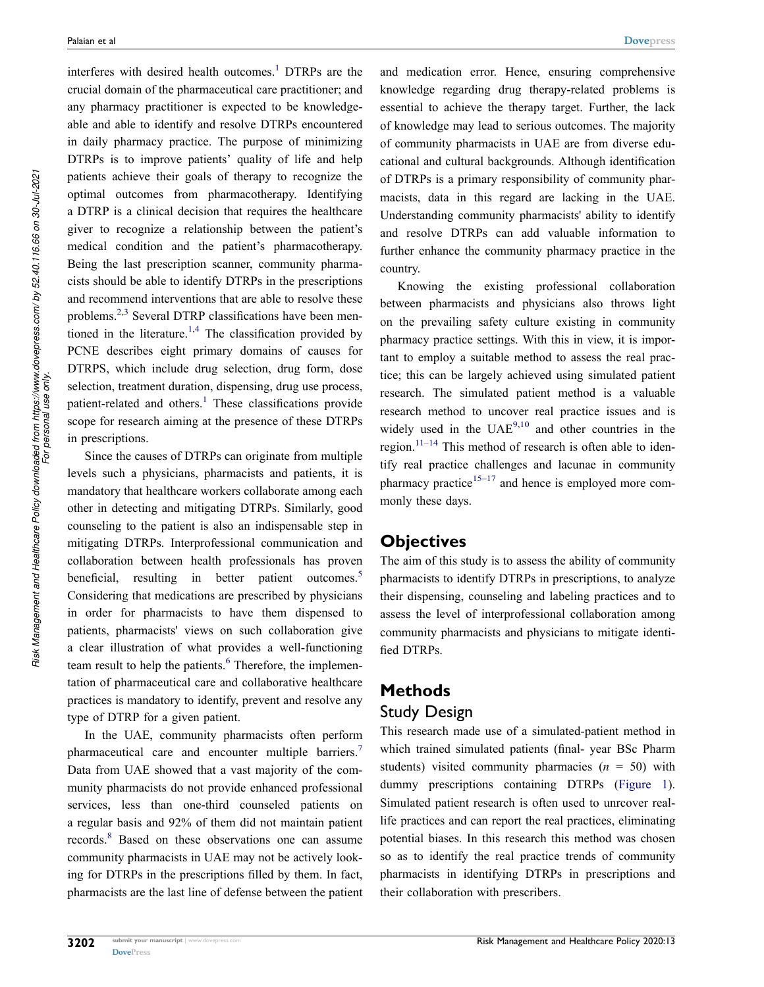interferes with desired health outcomes.<sup>[1](#page-7-0)</sup> DTRPs are the crucial domain of the pharmaceutical care practitioner; and any pharmacy practitioner is expected to be knowledgeable and able to identify and resolve DTRPs encountered in daily pharmacy practice. The purpose of minimizing DTRPs is to improve patients' quality of life and help patients achieve their goals of therapy to recognize the optimal outcomes from pharmacotherapy. Identifying a DTRP is a clinical decision that requires the healthcare giver to recognize a relationship between the patient's medical condition and the patient's pharmacotherapy. Being the last prescription scanner, community pharmacists should be able to identify DTRPs in the prescriptions and recommend interventions that are able to resolve these problems.[2](#page-7-1)[,3](#page-7-2) Several DTRP classifications have been men-tioned in the literature.<sup>[1](#page-7-0)[,4](#page-7-3)</sup> The classification provided by PCNE describes eight primary domains of causes for DTRPS, which include drug selection, drug form, dose selection, treatment duration, dispensing, drug use process, patient-related and others.<sup>[1](#page-7-0)</sup> These classifications provide scope for research aiming at the presence of these DTRPs in prescriptions.

<span id="page-1-2"></span><span id="page-1-1"></span><span id="page-1-0"></span>Since the causes of DTRPs can originate from multiple levels such a physicians, pharmacists and patients, it is mandatory that healthcare workers collaborate among each other in detecting and mitigating DTRPs. Similarly, good counseling to the patient is also an indispensable step in mitigating DTRPs. Interprofessional communication and collaboration between health professionals has proven beneficial, resulting in better patient outcomes.<sup>5</sup> Considering that medications are prescribed by physicians in order for pharmacists to have them dispensed to patients, pharmacists' views on such collaboration give a clear illustration of what provides a well-functioning team result to help the patients.<sup>6</sup> Therefore, the implementation of pharmaceutical care and collaborative healthcare practices is mandatory to identify, prevent and resolve any type of DTRP for a given patient.

<span id="page-1-5"></span><span id="page-1-4"></span><span id="page-1-3"></span>In the UAE, community pharmacists often perform pharmaceutical care and encounter multiple barriers.<sup>7</sup> Data from UAE showed that a vast majority of the community pharmacists do not provide enhanced professional services, less than one-third counseled patients on a regular basis and 92% of them did not maintain patient records.[8](#page-7-7) Based on these observations one can assume community pharmacists in UAE may not be actively looking for DTRPs in the prescriptions filled by them. In fact, pharmacists are the last line of defense between the patient and medication error. Hence, ensuring comprehensive knowledge regarding drug therapy-related problems is essential to achieve the therapy target. Further, the lack of knowledge may lead to serious outcomes. The majority of community pharmacists in UAE are from diverse educational and cultural backgrounds. Although identification of DTRPs is a primary responsibility of community pharmacists, data in this regard are lacking in the UAE. Understanding community pharmacists' ability to identify and resolve DTRPs can add valuable information to further enhance the community pharmacy practice in the country.

Knowing the existing professional collaboration between pharmacists and physicians also throws light on the prevailing safety culture existing in community pharmacy practice settings. With this in view, it is important to employ a suitable method to assess the real practice; this can be largely achieved using simulated patient research. The simulated patient method is a valuable research method to uncover real practice issues and is widely used in the  $UAE^{9,10}$  $UAE^{9,10}$  $UAE^{9,10}$  $UAE^{9,10}$  and other countries in the region.<sup>[11–14](#page-7-10)</sup> This method of research is often able to identify real practice challenges and lacunae in community pharmacy practice<sup>15–17</sup> and hence is employed more commonly these days.

#### <span id="page-1-8"></span><span id="page-1-7"></span><span id="page-1-6"></span>**Objectives**

The aim of this study is to assess the ability of community pharmacists to identify DTRPs in prescriptions, to analyze their dispensing, counseling and labeling practices and to assess the level of interprofessional collaboration among community pharmacists and physicians to mitigate identified DTRPs.

## **Methods** Study Design

This research made use of a simulated-patient method in which trained simulated patients (final- year BSc Pharm students) visited community pharmacies  $(n = 50)$  with dummy prescriptions containing DTRPs ([Figure 1\)](#page-2-0). Simulated patient research is often used to unrcover reallife practices and can report the real practices, eliminating potential biases. In this research this method was chosen so as to identify the real practice trends of community pharmacists in identifying DTRPs in prescriptions and their collaboration with prescribers.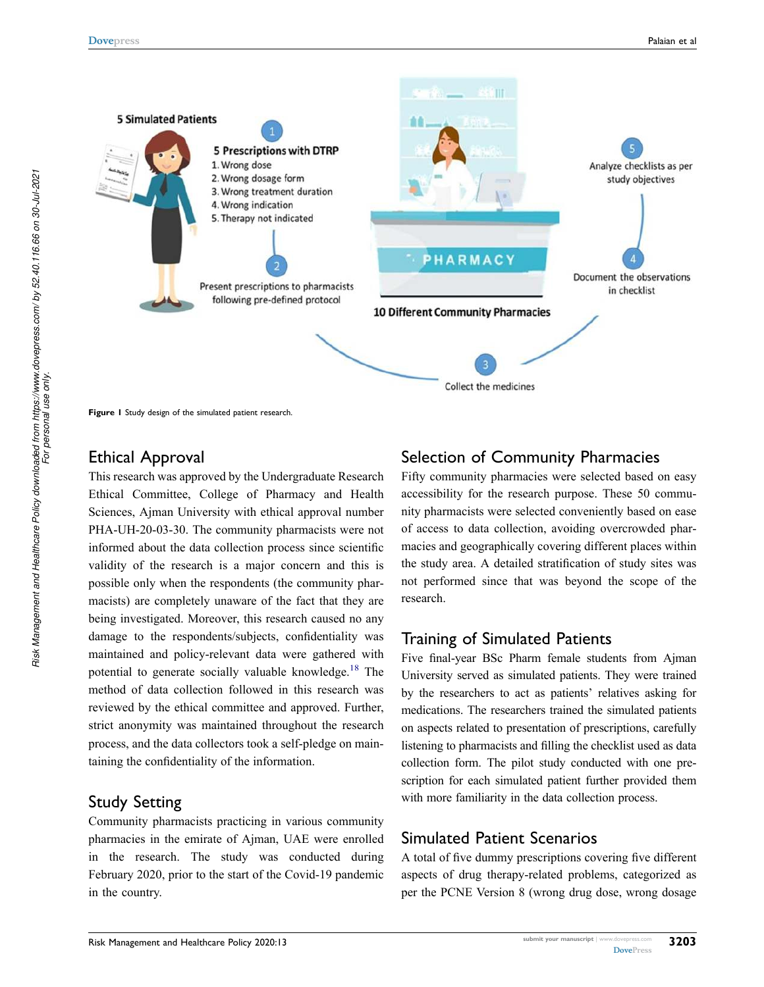<span id="page-2-0"></span>

**Figure I** Study design of the simulated patient research.

#### Ethical Approval

This research was approved by the Undergraduate Research Ethical Committee, College of Pharmacy and Health Sciences, Ajman University with ethical approval number PHA-UH-20-03-30. The community pharmacists were not informed about the data collection process since scientific validity of the research is a major concern and this is possible only when the respondents (the community pharmacists) are completely unaware of the fact that they are being investigated. Moreover, this research caused no any damage to the respondents/subjects, confidentiality was maintained and policy-relevant data were gathered with potential to generate socially valuable knowledge.<sup>18</sup> The method of data collection followed in this research was reviewed by the ethical committee and approved. Further, strict anonymity was maintained throughout the research process, and the data collectors took a self-pledge on maintaining the confidentiality of the information.

#### <span id="page-2-1"></span>Study Setting

Community pharmacists practicing in various community pharmacies in the emirate of Ajman, UAE were enrolled in the research. The study was conducted during February 2020, prior to the start of the Covid-19 pandemic in the country.

## Selection of Community Pharmacies

Fifty community pharmacies were selected based on easy accessibility for the research purpose. These 50 community pharmacists were selected conveniently based on ease of access to data collection, avoiding overcrowded pharmacies and geographically covering different places within the study area. A detailed stratification of study sites was not performed since that was beyond the scope of the research.

## Training of Simulated Patients

Five final-year BSc Pharm female students from Ajman University served as simulated patients. They were trained by the researchers to act as patients' relatives asking for medications. The researchers trained the simulated patients on aspects related to presentation of prescriptions, carefully listening to pharmacists and filling the checklist used as data collection form. The pilot study conducted with one prescription for each simulated patient further provided them with more familiarity in the data collection process.

## Simulated Patient Scenarios

A total of five dummy prescriptions covering five different aspects of drug therapy-related problems, categorized as per the PCNE Version 8 (wrong drug dose, wrong dosage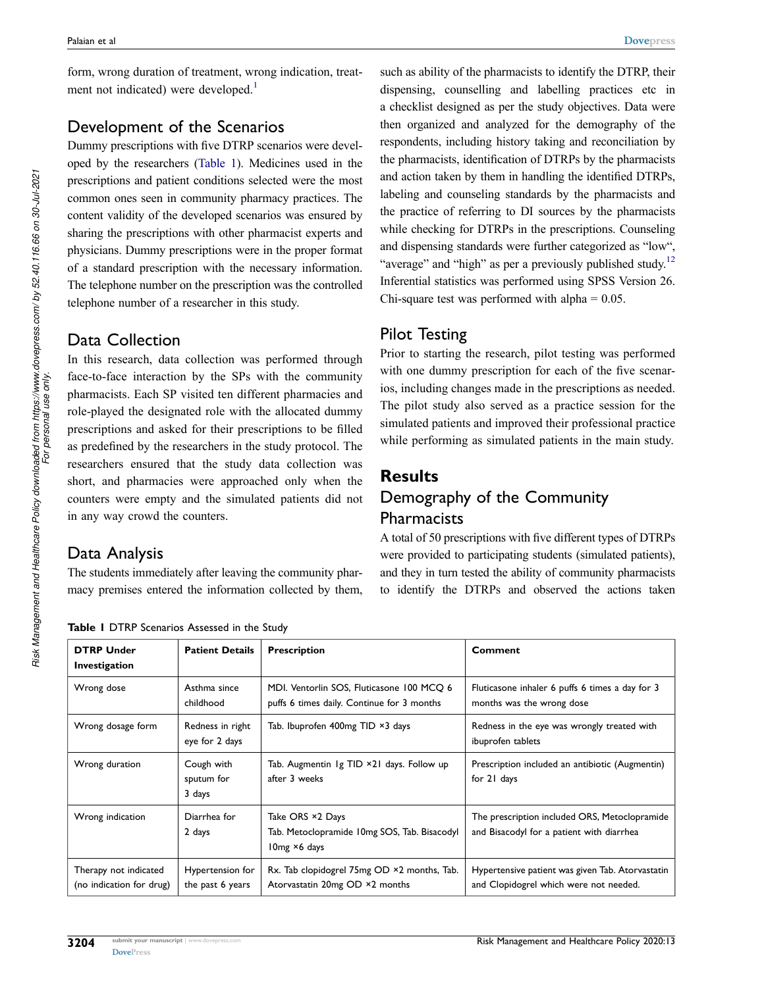form, wrong duration of treatment, wrong indication, treat-ment not indicated) were developed.<sup>[1](#page-7-0)</sup>

## Development of the Scenarios

Dummy prescriptions with five DTRP scenarios were developed by the researchers [\(Table 1\)](#page-3-0). Medicines used in the prescriptions and patient conditions selected were the most common ones seen in community pharmacy practices. The content validity of the developed scenarios was ensured by sharing the prescriptions with other pharmacist experts and physicians. Dummy prescriptions were in the proper format of a standard prescription with the necessary information. The telephone number on the prescription was the controlled telephone number of a researcher in this study.

## Data Collection

In this research, data collection was performed through face-to-face interaction by the SPs with the community pharmacists. Each SP visited ten different pharmacies and role-played the designated role with the allocated dummy prescriptions and asked for their prescriptions to be filled as predefined by the researchers in the study protocol. The researchers ensured that the study data collection was short, and pharmacies were approached only when the counters were empty and the simulated patients did not in any way crowd the counters.

## Data Analysis

The students immediately after leaving the community pharmacy premises entered the information collected by them, such as ability of the pharmacists to identify the DTRP, their dispensing, counselling and labelling practices etc in a checklist designed as per the study objectives. Data were then organized and analyzed for the demography of the respondents, including history taking and reconciliation by the pharmacists, identification of DTRPs by the pharmacists and action taken by them in handling the identified DTRPs, labeling and counseling standards by the pharmacists and the practice of referring to DI sources by the pharmacists while checking for DTRPs in the prescriptions. Counseling and dispensing standards were further categorized as "low", "average" and "high" as per a previously published study.<sup>[12](#page-7-13)</sup> Inferential statistics was performed using SPSS Version 26. Chi-square test was performed with alpha  $= 0.05$ .

## <span id="page-3-1"></span>Pilot Testing

Prior to starting the research, pilot testing was performed with one dummy prescription for each of the five scenarios, including changes made in the prescriptions as needed. The pilot study also served as a practice session for the simulated patients and improved their professional practice while performing as simulated patients in the main study.

## **Results**

## Demography of the Community **Pharmacists**

A total of 50 prescriptions with five different types of DTRPs were provided to participating students (simulated patients), and they in turn tested the ability of community pharmacists to identify the DTRPs and observed the actions taken

<span id="page-3-0"></span>**Table 1** DTRP Scenarios Assessed in the Study

| <b>DTRP Under</b><br>Investigation                | <b>Patient Details</b>               | <b>Prescription</b>                                                                      | Comment                                                                                    |
|---------------------------------------------------|--------------------------------------|------------------------------------------------------------------------------------------|--------------------------------------------------------------------------------------------|
| Wrong dose                                        | Asthma since<br>childhood            | MDI. Ventorlin SOS, Fluticasone 100 MCQ 6<br>puffs 6 times daily. Continue for 3 months  | Fluticasone inhaler 6 puffs 6 times a day for 3<br>months was the wrong dose               |
| Wrong dosage form                                 | Redness in right<br>eye for 2 days   | Tab. Ibuprofen 400mg $TID \times 3$ days                                                 | Redness in the eye was wrongly treated with<br>ibuprofen tablets                           |
| Wrong duration                                    | Cough with<br>sputum for<br>3 days   | Tab. Augmentin 1g TID ×21 days. Follow up<br>after 3 weeks                               | Prescription included an antibiotic (Augmentin)<br>for 21 days                             |
| Wrong indication                                  | Diarrhea for<br>2 days               | Take ORS ×2 Days<br>Tab. Metoclopramide 10mg SOS, Tab. Bisacodyl<br>$10mg \times 6$ days | The prescription included ORS, Metoclopramide<br>and Bisacodyl for a patient with diarrhea |
| Therapy not indicated<br>(no indication for drug) | Hypertension for<br>the past 6 years | Rx. Tab clopidogrel 75mg OD ×2 months, Tab.<br>Atorvastatin 20mg OD ×2 months            | Hypertensive patient was given Tab. Atorvastatin<br>and Clopidogrel which were not needed. |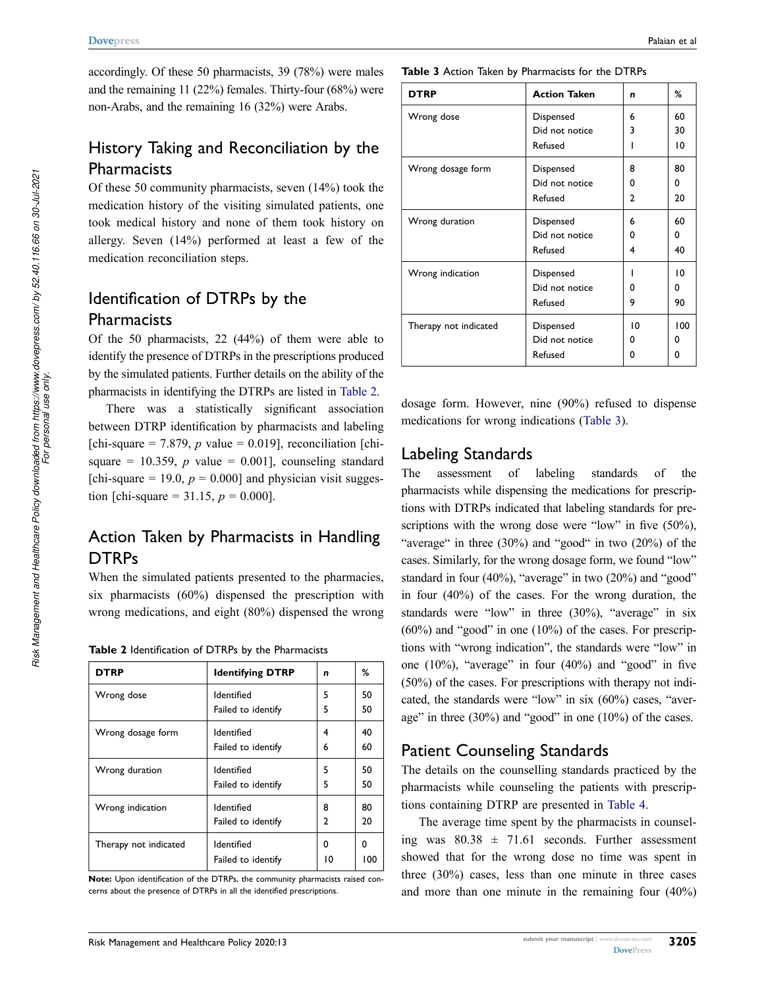accordingly. Of these 50 pharmacists, 39 (78%) were males and the remaining 11 (22%) females. Thirty-four (68%) were non-Arabs, and the remaining 16 (32%) were Arabs.

# History Taking and Reconciliation by the **Pharmacists**

Of these 50 community pharmacists, seven (14%) took the medication history of the visiting simulated patients, one took medical history and none of them took history on allergy. Seven (14%) performed at least a few of the medication reconciliation steps.

## Identification of DTRPs by the **Pharmacists**

Of the 50 pharmacists, 22 (44%) of them were able to identify the presence of DTRPs in the prescriptions produced by the simulated patients. Further details on the ability of the pharmacists in identifying the DTRPs are listed in [Table 2](#page-4-0).

There was a statistically significant association between DTRP identification by pharmacists and labeling [chi-square = 7.879,  $p$  value = 0.019], reconciliation [chisquare = 10.359, *p* value = 0.001], counseling standard [chi-square  $= 19.0, p = 0.000$ ] and physician visit suggestion [chi-square =  $31.15$ ,  $p = 0.000$ ].

## Action Taken by Pharmacists in Handling DTRPs

When the simulated patients presented to the pharmacies, six pharmacists (60%) dispensed the prescription with wrong medications, and eight (80%) dispensed the wrong

<span id="page-4-0"></span>**Table 2** Identification of DTRPs by the Pharmacists

| <b>DTRP</b>           | <b>Identifying DTRP</b> | n  | %   |
|-----------------------|-------------------------|----|-----|
| Wrong dose            | Identified              | 5  | 50  |
|                       | Failed to identify      | 5  | 50  |
| Wrong dosage form     | Identified              | 4  | 40  |
|                       | Failed to identify      | 6  | 60  |
| Wrong duration        | Identified              | 5  | 50  |
|                       | Failed to identify      | 5  | 50  |
| Wrong indication      | Identified              | 8  | 80  |
|                       | Failed to identify      | 2  | 20  |
| Therapy not indicated | Identified              | 0  | 0   |
|                       | Failed to identify      | 10 | 100 |

**Note:** Upon identification of the DTRPs, the community pharmacists raised concerns about the presence of DTRPs in all the identified prescriptions.

<span id="page-4-1"></span>**Table 3** Action Taken by Pharmacists for the DTRPs

| <b>DTRP</b>           | <b>Action Taken</b> | n              | %   |
|-----------------------|---------------------|----------------|-----|
| Wrong dose            | Dispensed           | 6              | 60  |
|                       | Did not notice      | 3              | 30  |
|                       | Refused             |                | 10  |
| Wrong dosage form     | Dispensed           | 8              | 80  |
|                       | Did not notice      | 0              | 0   |
|                       | Refused             | $\overline{2}$ | 20  |
| Wrong duration        | Dispensed           | 6              | 60  |
|                       | Did not notice      | 0              | 0   |
|                       | Refused             | 4              | 40  |
| Wrong indication      | Dispensed           |                | 10  |
|                       | Did not notice      | 0              | 0   |
|                       | Refused             | 9              | 90  |
| Therapy not indicated | Dispensed           | 10             | 100 |
|                       | Did not notice      | 0              | 0   |
|                       | Refused             | 0              | 0   |

dosage form. However, nine (90%) refused to dispense medications for wrong indications ([Table 3](#page-4-1)).

## Labeling Standards

The assessment of labeling standards of the pharmacists while dispensing the medications for prescriptions with DTRPs indicated that labeling standards for prescriptions with the wrong dose were "low" in five (50%), "average" in three  $(30\%)$  and "good" in two  $(20\%)$  of the cases. Similarly, for the wrong dosage form, we found "low" standard in four (40%), "average" in two (20%) and "good" in four (40%) of the cases. For the wrong duration, the standards were "low" in three (30%), "average" in six (60%) and "good" in one (10%) of the cases. For prescriptions with "wrong indication", the standards were "low" in one (10%), "average" in four (40%) and "good" in five (50%) of the cases. For prescriptions with therapy not indicated, the standards were "low" in six (60%) cases, "average" in three (30%) and "good" in one (10%) of the cases.

## Patient Counseling Standards

The details on the counselling standards practiced by the pharmacists while counseling the patients with prescriptions containing DTRP are presented in [Table 4](#page-5-0).

The average time spent by the pharmacists in counseling was  $80.38 \pm 71.61$  seconds. Further assessment showed that for the wrong dose no time was spent in three (30%) cases, less than one minute in three cases and more than one minute in the remaining four (40%)

*For personal use only.*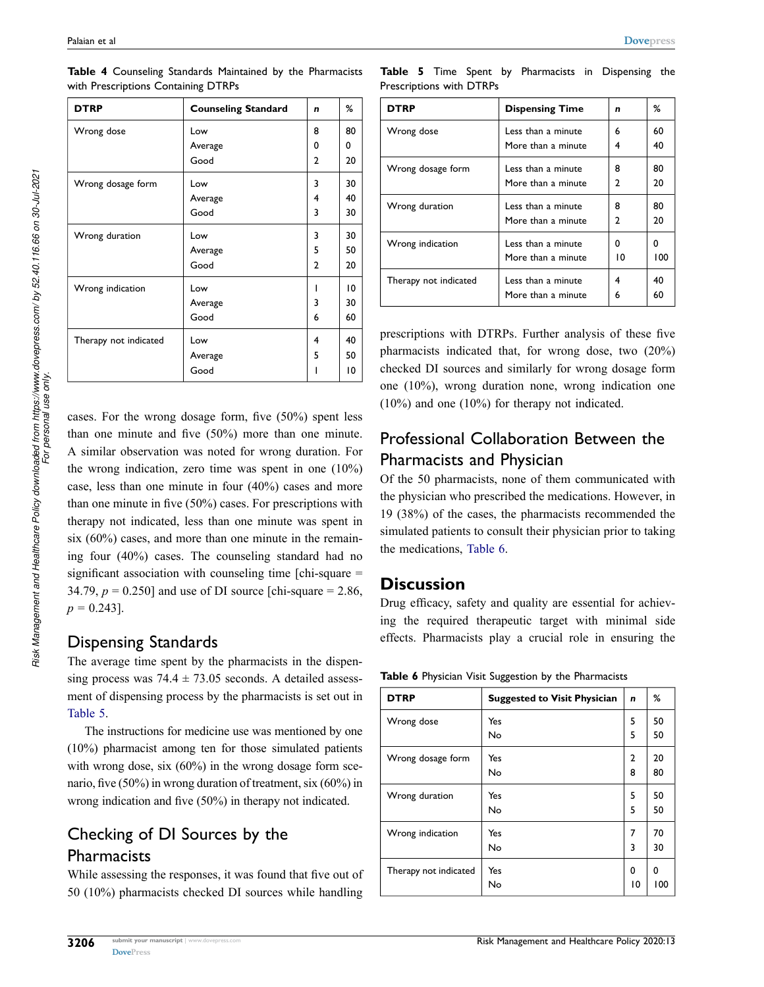| <b>DTRP</b>           | <b>Counseling Standard</b> | n              | ℅               |
|-----------------------|----------------------------|----------------|-----------------|
| Wrong dose            | Low                        | 8              | 80              |
|                       | Average                    | 0              | 0               |
|                       | Good                       | 2              | 20              |
| Wrong dosage form     | Low                        | 3              | 30              |
|                       | Average                    | 4              | 40              |
|                       | Good                       | 3              | 30              |
| Wrong duration        | Low                        | 3              | 30              |
|                       | Average                    | 5              | 50              |
|                       | Good                       | $\overline{2}$ | 20              |
| Wrong indication      | Low                        |                | $\overline{10}$ |
|                       | Average                    | 3              | 30              |
|                       | Good                       | 6              | 60              |
| Therapy not indicated | Low                        | 4              | 40              |
|                       | Average                    | 5              | 50              |
|                       | Good                       |                | 10              |

<span id="page-5-0"></span>**Table 4** Counseling Standards Maintained by the Pharmacists with Prescriptions Containing DTRPs

cases. For the wrong dosage form, five (50%) spent less than one minute and five (50%) more than one minute. A similar observation was noted for wrong duration. For the wrong indication, zero time was spent in one (10%) case, less than one minute in four (40%) cases and more than one minute in five (50%) cases. For prescriptions with therapy not indicated, less than one minute was spent in six (60%) cases, and more than one minute in the remaining four (40%) cases. The counseling standard had no significant association with counseling time [chi-square = 34.79,  $p = 0.250$ ] and use of DI source [chi-square = 2.86,  $p = 0.243$ ].

## Dispensing Standards

The average time spent by the pharmacists in the dispensing process was  $74.4 \pm 73.05$  seconds. A detailed assessment of dispensing process by the pharmacists is set out in [Table 5](#page-5-1).

The instructions for medicine use was mentioned by one (10%) pharmacist among ten for those simulated patients with wrong dose, six  $(60\%)$  in the wrong dosage form scenario, five (50%) in wrong duration of treatment, six (60%) in wrong indication and five (50%) in therapy not indicated.

# Checking of DI Sources by the **Pharmacists**

While assessing the responses, it was found that five out of 50 (10%) pharmacists checked DI sources while handling

<span id="page-5-1"></span>**Table 5** Time Spent by Pharmacists in Dispensing the Prescriptions with DTRPs

| <b>DTRP</b>           | <b>Dispensing Time</b> | n              | %   |
|-----------------------|------------------------|----------------|-----|
| Wrong dose            | Less than a minute     | 6              | 60  |
|                       | More than a minute     | 4              | 40  |
| Wrong dosage form     | Less than a minute     | 8              | 80  |
|                       | More than a minute     | 2              | 20  |
| Wrong duration        | Less than a minute     | 8              | 80  |
|                       | More than a minute     | $\overline{2}$ | 20  |
| Wrong indication      | Less than a minute     | 0              | 0   |
|                       | More than a minute     | 10             | 100 |
| Therapy not indicated | Less than a minute     | 4              | 40  |
|                       | More than a minute     | 6              | 60  |

prescriptions with DTRPs. Further analysis of these five pharmacists indicated that, for wrong dose, two (20%) checked DI sources and similarly for wrong dosage form one (10%), wrong duration none, wrong indication one (10%) and one (10%) for therapy not indicated.

## Professional Collaboration Between the Pharmacists and Physician

Of the 50 pharmacists, none of them communicated with the physician who prescribed the medications. However, in 19 (38%) of the cases, the pharmacists recommended the simulated patients to consult their physician prior to taking the medications, [Table 6.](#page-5-2)

## **Discussion**

Drug efficacy, safety and quality are essential for achieving the required therapeutic target with minimal side effects. Pharmacists play a crucial role in ensuring the

<span id="page-5-2"></span>

|  |  |  | Table 6 Physician Visit Suggestion by the Pharmacists |
|--|--|--|-------------------------------------------------------|
|  |  |  |                                                       |

| <b>DTRP</b>           | <b>Suggested to Visit Physician</b> | n  | ℅   |
|-----------------------|-------------------------------------|----|-----|
| Wrong dose            | Yes                                 | 5  | 50  |
|                       | No                                  | 5  | 50  |
| Wrong dosage form     | Yes                                 | 2  | 20  |
|                       | No                                  | 8  | 80  |
| Wrong duration        | Yes                                 | 5  | 50  |
|                       | No                                  | 5  | 50  |
| Wrong indication      | Yes                                 | 7  | 70  |
|                       | No                                  | 3  | 30  |
| Therapy not indicated | Yes                                 | 0  | 0   |
|                       | No                                  | 10 | 100 |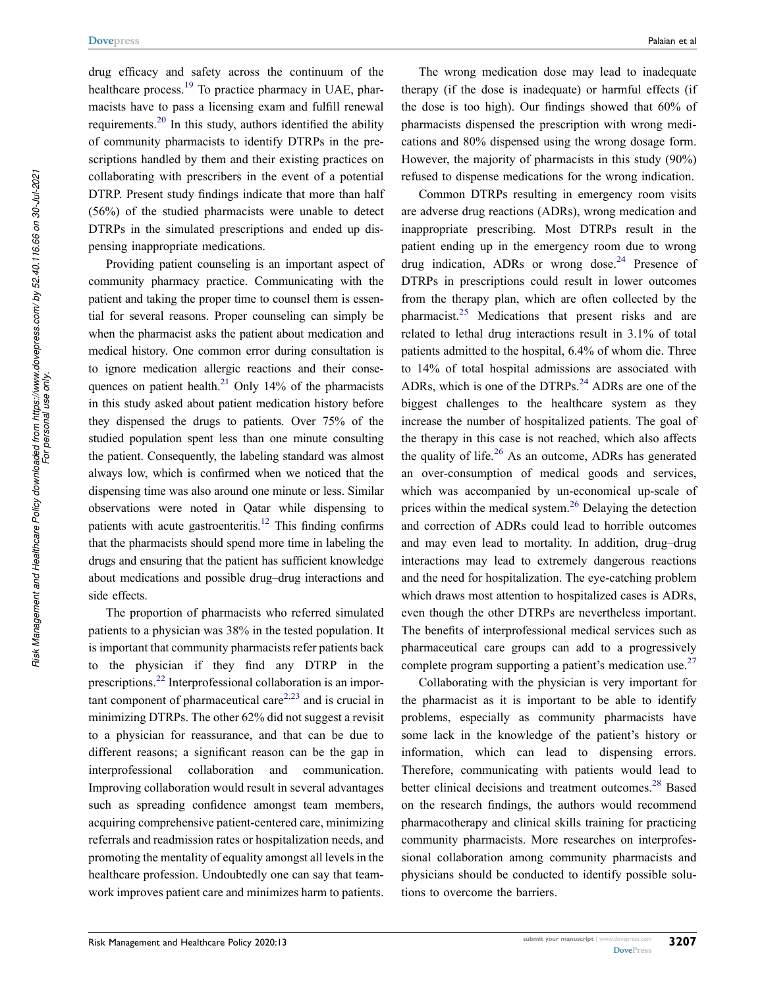<span id="page-6-0"></span>drug efficacy and safety across the continuum of the healthcare process.<sup>[19](#page-7-14)</sup> To practice pharmacy in UAE, pharmacists have to pass a licensing exam and fulfill renewal requirements.<sup>[20](#page-7-15)</sup> In this study, authors identified the ability of community pharmacists to identify DTRPs in the prescriptions handled by them and their existing practices on collaborating with prescribers in the event of a potential DTRP. Present study findings indicate that more than half (56%) of the studied pharmacists were unable to detect DTRPs in the simulated prescriptions and ended up dispensing inappropriate medications.

<span id="page-6-1"></span>Providing patient counseling is an important aspect of community pharmacy practice. Communicating with the patient and taking the proper time to counsel them is essential for several reasons. Proper counseling can simply be when the pharmacist asks the patient about medication and medical history. One common error during consultation is to ignore medication allergic reactions and their consequences on patient health.<sup>21</sup> Only 14% of the pharmacists in this study asked about patient medication history before they dispensed the drugs to patients. Over 75% of the studied population spent less than one minute consulting the patient. Consequently, the labeling standard was almost always low, which is confirmed when we noticed that the dispensing time was also around one minute or less. Similar observations were noted in Qatar while dispensing to patients with acute gastroenteritis.<sup>[12](#page-7-13)</sup> This finding confirms that the pharmacists should spend more time in labeling the drugs and ensuring that the patient has sufficient knowledge about medications and possible drug–drug interactions and side effects.

<span id="page-6-3"></span><span id="page-6-2"></span>The proportion of pharmacists who referred simulated patients to a physician was 38% in the tested population. It is important that community pharmacists refer patients back to the physician if they find any DTRP in the prescriptions.[22](#page-8-1) Interprofessional collaboration is an impor-tant component of pharmaceutical care<sup>[2](#page-7-1),23</sup> and is crucial in minimizing DTRPs. The other 62% did not suggest a revisit to a physician for reassurance, and that can be due to different reasons; a significant reason can be the gap in interprofessional collaboration and communication. Improving collaboration would result in several advantages such as spreading confidence amongst team members, acquiring comprehensive patient-centered care, minimizing referrals and readmission rates or hospitalization needs, and promoting the mentality of equality amongst all levels in the healthcare profession. Undoubtedly one can say that teamwork improves patient care and minimizes harm to patients.

The wrong medication dose may lead to inadequate therapy (if the dose is inadequate) or harmful effects (if the dose is too high). Our findings showed that 60% of pharmacists dispensed the prescription with wrong medications and 80% dispensed using the wrong dosage form. However, the majority of pharmacists in this study (90%) refused to dispense medications for the wrong indication.

<span id="page-6-5"></span><span id="page-6-4"></span>Common DTRPs resulting in emergency room visits are adverse drug reactions (ADRs), wrong medication and inappropriate prescribing. Most DTRPs result in the patient ending up in the emergency room due to wrong drug indication, ADRs or wrong dose. $24$  Presence of DTRPs in prescriptions could result in lower outcomes from the therapy plan, which are often collected by the pharmacist.[25](#page-8-4) Medications that present risks and are related to lethal drug interactions result in 3.1% of total patients admitted to the hospital, 6.4% of whom die. Three to 14% of total hospital admissions are associated with ADRs, which is one of the DTRPs.<sup>24</sup> ADRs are one of the biggest challenges to the healthcare system as they increase the number of hospitalized patients. The goal of the therapy in this case is not reached, which also affects the quality of life.<sup>[26](#page-8-5)</sup> As an outcome, ADRs has generated an over-consumption of medical goods and services, which was accompanied by un-economical up-scale of prices within the medical system.<sup>[26](#page-8-5)</sup> Delaying the detection and correction of ADRs could lead to horrible outcomes and may even lead to mortality. In addition, drug–drug interactions may lead to extremely dangerous reactions and the need for hospitalization. The eye-catching problem which draws most attention to hospitalized cases is ADRs, even though the other DTRPs are nevertheless important. The benefits of interprofessional medical services such as pharmaceutical care groups can add to a progressively complete program supporting a patient's medication use.<sup>[27](#page-8-6)</sup>

<span id="page-6-8"></span><span id="page-6-7"></span><span id="page-6-6"></span>Collaborating with the physician is very important for the pharmacist as it is important to be able to identify problems, especially as community pharmacists have some lack in the knowledge of the patient's history or information, which can lead to dispensing errors. Therefore, communicating with patients would lead to better clinical decisions and treatment outcomes.<sup>[28](#page-8-7)</sup> Based on the research findings, the authors would recommend pharmacotherapy and clinical skills training for practicing community pharmacists. More researches on interprofessional collaboration among community pharmacists and physicians should be conducted to identify possible solutions to overcome the barriers.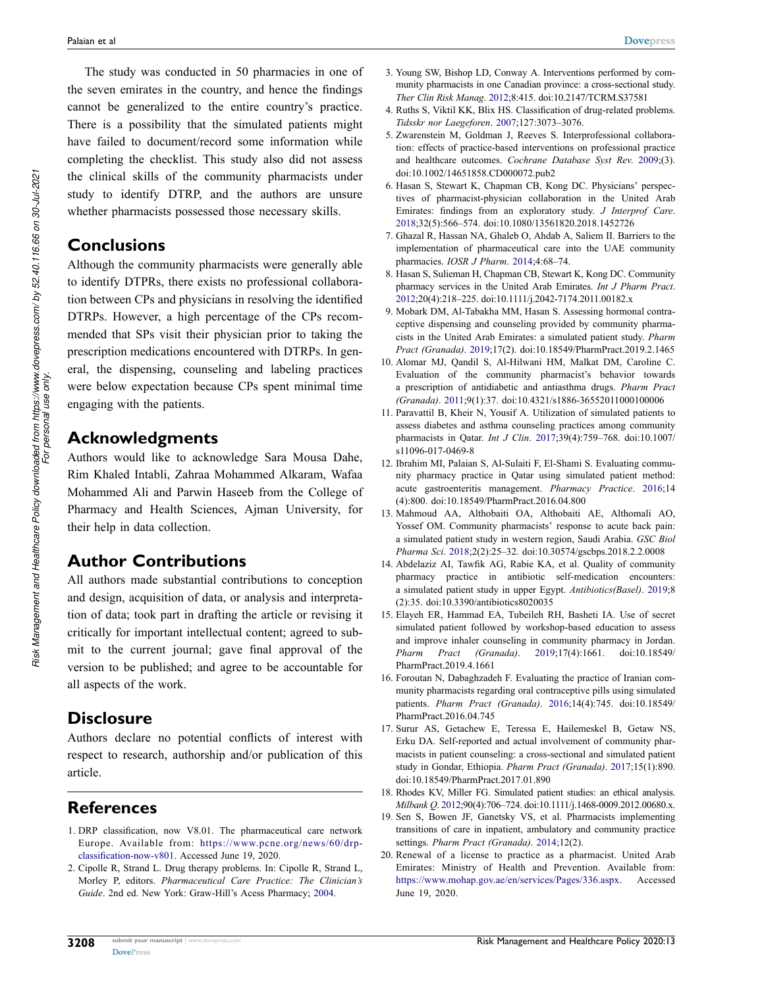The study was conducted in 50 pharmacies in one of the seven emirates in the country, and hence the findings cannot be generalized to the entire country's practice. There is a possibility that the simulated patients might have failed to document/record some information while completing the checklist. This study also did not assess the clinical skills of the community pharmacists under study to identify DTRP, and the authors are unsure whether pharmacists possessed those necessary skills.

#### **Conclusions**

Although the community pharmacists were generally able to identify DTPRs, there exists no professional collaboration between CPs and physicians in resolving the identified DTRPs. However, a high percentage of the CPs recommended that SPs visit their physician prior to taking the prescription medications encountered with DTRPs. In general, the dispensing, counseling and labeling practices were below expectation because CPs spent minimal time engaging with the patients.

#### **Acknowledgments**

Authors would like to acknowledge Sara Mousa Dahe, Rim Khaled Intabli, Zahraa Mohammed Alkaram, Wafaa Mohammed Ali and Parwin Haseeb from the College of Pharmacy and Health Sciences, Ajman University, for their help in data collection.

## **Author Contributions**

All authors made substantial contributions to conception and design, acquisition of data, or analysis and interpretation of data; took part in drafting the article or revising it critically for important intellectual content; agreed to submit to the current journal; gave final approval of the version to be published; and agree to be accountable for all aspects of the work.

#### **Disclosure**

Authors declare no potential conflicts of interest with respect to research, authorship and/or publication of this article.

#### **References**

- <span id="page-7-0"></span>1. DRP classification, now V8.01. The pharmaceutical care network Europe. Available from: [https://www.pcne.org/news/60/drp](https://www.pcne.org/news/60/drp-classification-now-v801)[classification-now-v801.](https://www.pcne.org/news/60/drp-classification-now-v801) Accessed June 19, 2020.
- <span id="page-7-1"></span>2. Cipolle R, Strand L. Drug therapy problems. In: Cipolle R, Strand L, Morley P, editors. *Pharmaceutical Care Practice: The Clinician's Guide*. 2nd ed. New York: Graw-Hill's Acess Pharmacy; [2004](#page-1-0).
- <span id="page-7-2"></span>3. Young SW, Bishop LD, Conway A. Interventions performed by community pharmacists in one Canadian province: a cross-sectional study.
- <span id="page-7-3"></span>*Ther Clin Risk Manag*. [2012;](#page-1-0)8:415. doi:[10.2147/TCRM.S37581](https://doi.org/10.2147/TCRM.S37581) 4. Ruths S, Viktil KK, Blix HS. Classification of drug-related problems. *Tidsskr nor Laegeforen*. [2007;](#page-1-1)127:3073–3076.
- <span id="page-7-4"></span>5. Zwarenstein M, Goldman J, Reeves S. Interprofessional collaboration: effects of practice-based interventions on professional practice and healthcare outcomes. *Cochrane Database Syst Rev*. [2009;](#page-1-2)(3). doi:[10.1002/14651858.CD000072.pub2](https://doi.org/10.1002/14651858.CD000072.pub2)
- <span id="page-7-5"></span>6. Hasan S, Stewart K, Chapman CB, Kong DC. Physicians' perspectives of pharmacist-physician collaboration in the United Arab Emirates: findings from an exploratory study. *J Interprof Care*. [2018](#page-1-3);32(5):566–574. doi:[10.1080/13561820.2018.1452726](https://doi.org/10.1080/13561820.2018.1452726)
- <span id="page-7-6"></span>7. Ghazal R, Hassan NA, Ghaleb O, Ahdab A, Saliem II. Barriers to the implementation of pharmaceutical care into the UAE community pharmacies. *IOSR J Pharm*. [2014](#page-1-4);4:68–74.
- <span id="page-7-7"></span>8. Hasan S, Sulieman H, Chapman CB, Stewart K, Kong DC. Community pharmacy services in the United Arab Emirates. *Int J Pharm Pract*. [2012](#page-1-5);20(4):218–225. doi:[10.1111/j.2042-7174.2011.00182.x](https://doi.org/10.1111/j.2042-7174.2011.00182.x)
- <span id="page-7-8"></span>9. Mobark DM, Al-Tabakha MM, Hasan S. Assessing hormonal contraceptive dispensing and counseling provided by community pharmacists in the United Arab Emirates: a simulated patient study. *Pharm Pract (Granada)*. [2019;](#page-1-6)17(2). doi:[10.18549/PharmPract.2019.2.1465](https://doi.org/10.18549/PharmPract.2019.2.1465)
- <span id="page-7-9"></span>10. Alomar MJ, Qandil S, Al-Hilwani HM, Malkat DM, Caroline C. Evaluation of the community pharmacist's behavior towards a prescription of antidiabetic and antiasthma drugs. *Pharm Pract (Granada)*. [2011;](#page-1-6)9(1):37. doi:[10.4321/s1886-36552011000100006](https://doi.org/10.4321/s1886-36552011000100006)
- <span id="page-7-10"></span>11. Paravattil B, Kheir N, Yousif A. Utilization of simulated patients to assess diabetes and asthma counseling practices among community pharmacists in Qatar. *Int J Clin*. [2017;](#page-1-7)39(4):759–768. doi:[10.1007/](https://doi.org/10.1007/s11096-017-0469-8) [s11096-017-0469-8](https://doi.org/10.1007/s11096-017-0469-8)
- <span id="page-7-13"></span>12. Ibrahim MI, Palaian S, Al-Sulaiti F, El-Shami S. Evaluating community pharmacy practice in Qatar using simulated patient method: acute gastroenteritis management. *Pharmacy Practice*. [2016](#page-3-1);14 (4):800. doi:[10.18549/PharmPract.2016.04.800](https://doi.org/10.18549/PharmPract.2016.04.800)
- 13. Mahmoud AA, Althobaiti OA, Althobaiti AE, Althomali AO, Yossef OM. Community pharmacists' response to acute back pain: a simulated patient study in western region, Saudi Arabia. *GSC Biol Pharma Sci*. 2018;2(2):25–32. doi:[10.30574/gscbps.2018.2.2.0008](https://doi.org/10.30574/gscbps.2018.2.2.0008)
- 14. Abdelaziz AI, Tawfik AG, Rabie KA, et al. Quality of community pharmacy practice in antibiotic self-medication encounters: a simulated patient study in upper Egypt. *Antibiotics(Basel)*. 2019;8 (2):35. doi:[10.3390/antibiotics8020035](https://doi.org/10.3390/antibiotics8020035)
- <span id="page-7-11"></span>15. Elayeh ER, Hammad EA, Tubeileh RH, Basheti IA. Use of secret simulated patient followed by workshop-based education to assess and improve inhaler counseling in community pharmacy in Jordan. *Pharm Pract (Granada)*. [2019;](#page-1-8)17(4):1661. doi:[10.18549/](https://doi.org/10.18549/PharmPract.2019.4.1661) [PharmPract.2019.4.1661](https://doi.org/10.18549/PharmPract.2019.4.1661)
- 16. Foroutan N, Dabaghzadeh F. Evaluating the practice of Iranian community pharmacists regarding oral contraceptive pills using simulated patients. *Pharm Pract (Granada)*. 2016;14(4):745. doi:[10.18549/](https://doi.org/10.18549/PharmPract.2016.04.745) [PharmPract.2016.04.745](https://doi.org/10.18549/PharmPract.2016.04.745)
- 17. Surur AS, Getachew E, Teressa E, Hailemeskel B, Getaw NS, Erku DA. Self-reported and actual involvement of community pharmacists in patient counseling: a cross-sectional and simulated patient study in Gondar, Ethiopia. *Pharm Pract (Granada)*. 2017;15(1):890. doi:[10.18549/PharmPract.2017.01.890](https://doi.org/10.18549/PharmPract.2017.01.890)
- <span id="page-7-12"></span>18. Rhodes KV, Miller FG. Simulated patient studies: an ethical analysis. *Milbank Q*. [2012](#page-2-1);90(4):706–724. doi:[10.1111/j.1468-0009.2012.00680.x](https://doi.org/10.1111/j.1468-0009.2012.00680.x).
- <span id="page-7-14"></span>19. Sen S, Bowen JF, Ganetsky VS, et al. Pharmacists implementing transitions of care in inpatient, ambulatory and community practice settings. *Pharm Pract (Granada)*. [2014](#page-6-0);12(2).
- <span id="page-7-15"></span>20. Renewal of a license to practice as a pharmacist. United Arab Emirates: Ministry of Health and Prevention. Available from: <https://www.mohap.gov.ae/en/services/Pages/336.aspx>. Accessed June 19, 2020.